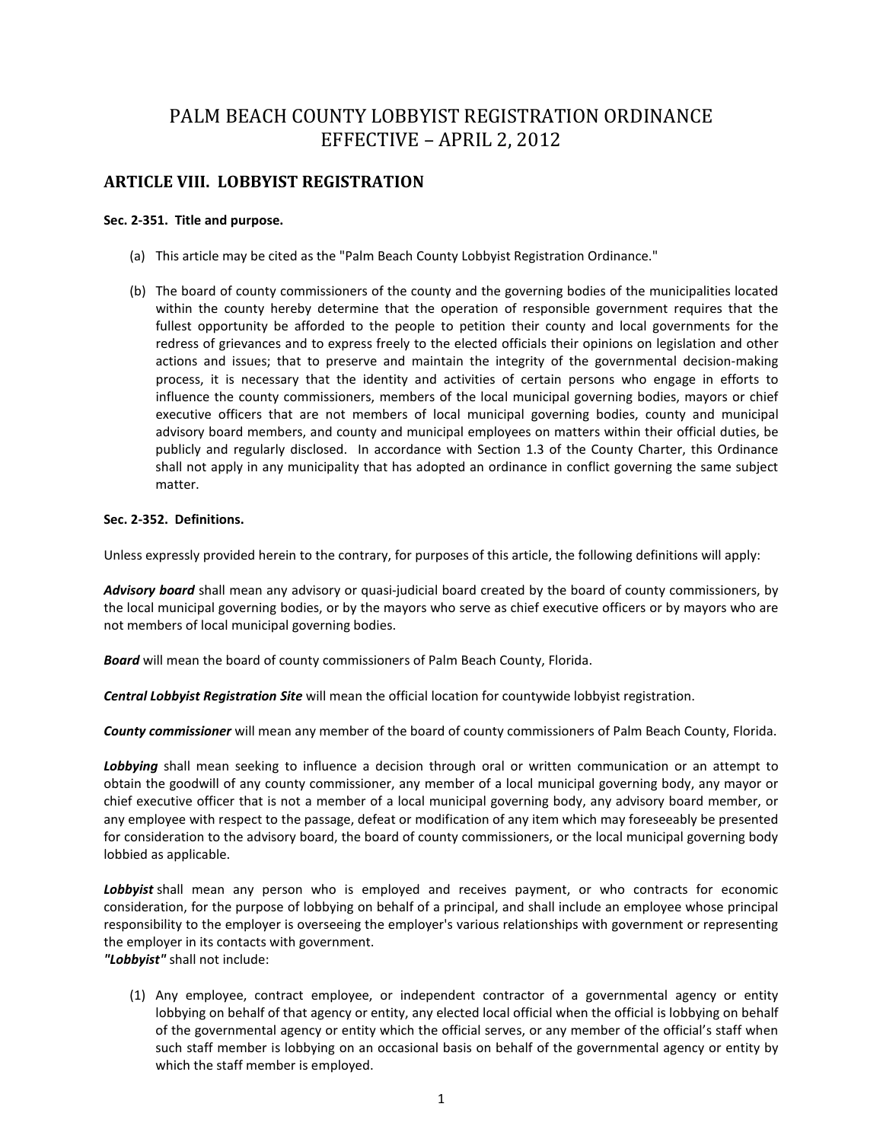# PALM BEACH COUNTY LOBBYIST REGISTRATION ORDINANCE EFFECTIVE – APRIL 2, 2012

# **ARTICLE VIII. LOBBYIST REGISTRATION**

# **Sec. 2-351. Title and purpose.**

- (a) This article may be cited as the "Palm Beach County Lobbyist Registration Ordinance."
- (b) The board of county commissioners of the county and the governing bodies of the municipalities located within the county hereby determine that the operation of responsible government requires that the fullest opportunity be afforded to the people to petition their county and local governments for the redress of grievances and to express freely to the elected officials their opinions on legislation and other actions and issues; that to preserve and maintain the integrity of the governmental decision-making process, it is necessary that the identity and activities of certain persons who engage in efforts to influence the county commissioners, members of the local municipal governing bodies, mayors or chief executive officers that are not members of local municipal governing bodies, county and municipal advisory board members, and county and municipal employees on matters within their official duties, be publicly and regularly disclosed. In accordance with Section 1.3 of the County Charter, this Ordinance shall not apply in any municipality that has adopted an ordinance in conflict governing the same subject matter.

# **Sec. 2-352. Definitions.**

Unless expressly provided herein to the contrary, for purposes of this article, the following definitions will apply:

*Advisory board* shall mean any advisory or quasi-judicial board created by the board of county commissioners, by the local municipal governing bodies, or by the mayors who serve as chief executive officers or by mayors who are not members of local municipal governing bodies.

*Board* will mean the board of county commissioners of Palm Beach County, Florida.

*Central Lobbyist Registration Site* will mean the official location for countywide lobbyist registration.

*County commissioner* will mean any member of the board of county commissioners of Palm Beach County, Florida.

*Lobbying* shall mean seeking to influence a decision through oral or written communication or an attempt to obtain the goodwill of any county commissioner, any member of a local municipal governing body, any mayor or chief executive officer that is not a member of a local municipal governing body, any advisory board member, or any employee with respect to the passage, defeat or modification of any item which may foreseeably be presented for consideration to the advisory board, the board of county commissioners, or the local municipal governing body lobbied as applicable.

*Lobbyist* shall mean any person who is employed and receives payment, or who contracts for economic consideration, for the purpose of lobbying on behalf of a principal, and shall include an employee whose principal responsibility to the employer is overseeing the employer's various relationships with government or representing the employer in its contacts with government.

*"Lobbyist"* shall not include:

(1) Any employee, contract employee, or independent contractor of a governmental agency or entity lobbying on behalf of that agency or entity, any elected local official when the official is lobbying on behalf of the governmental agency or entity which the official serves, or any member of the official's staff when such staff member is lobbying on an occasional basis on behalf of the governmental agency or entity by which the staff member is employed.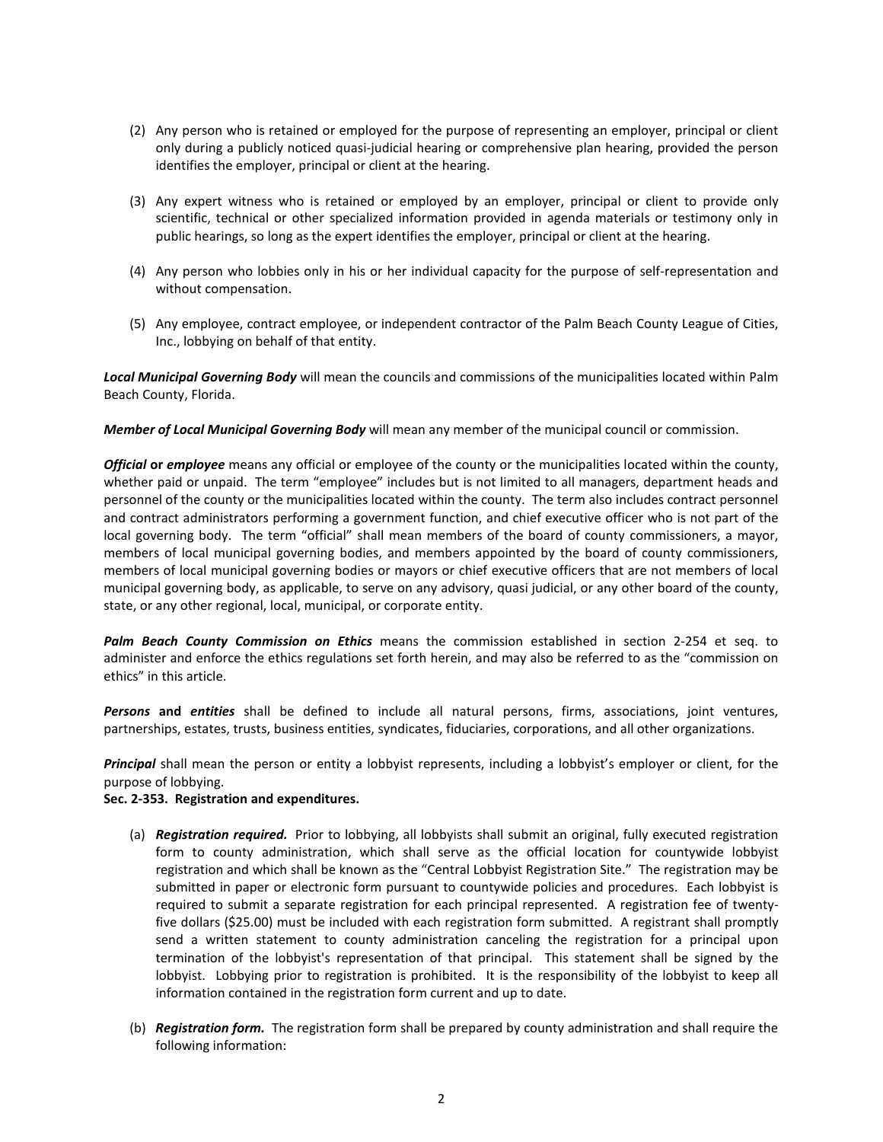- (2) Any person who is retained or employed for the purpose of representing an employer, principal or client only during a publicly noticed quasi-judicial hearing or comprehensive plan hearing, provided the person identifies the employer, principal or client at the hearing.
- (3) Any expert witness who is retained or employed by an employer, principal or client to provide only scientific, technical or other specialized information provided in agenda materials or testimony only in public hearings, so long as the expert identifies the employer, principal or client at the hearing.
- (4) Any person who lobbies only in his or her individual capacity for the purpose of self-representation and without compensation.
- (5) Any employee, contract employee, or independent contractor of the Palm Beach County League of Cities, Inc., lobbying on behalf of that entity.

*Local Municipal Governing Body* will mean the councils and commissions of the municipalities located within Palm Beach County, Florida.

*Member of Local Municipal Governing Body* will mean any member of the municipal council or commission.

*Official or employee* means any official or employee of the county or the municipalities located within the county, whether paid or unpaid. The term "employee" includes but is not limited to all managers, department heads and personnel of the county or the municipalities located within the county. The term also includes contract personnel and contract administrators performing a government function, and chief executive officer who is not part of the local governing body. The term "official" shall mean members of the board of county commissioners, a mayor, members of local municipal governing bodies, and members appointed by the board of county commissioners, members of local municipal governing bodies or mayors or chief executive officers that are not members of local municipal governing body, as applicable, to serve on any advisory, quasi judicial, or any other board of the county, state, or any other regional, local, municipal, or corporate entity.

*Palm Beach County Commission on Ethics* means the commission established in section 2-254 et seq. to administer and enforce the ethics regulations set forth herein, and may also be referred to as the "commission on ethics" in this article.

*Persons* **and** *entities* shall be defined to include all natural persons, firms, associations, joint ventures, partnerships, estates, trusts, business entities, syndicates, fiduciaries, corporations, and all other organizations.

*Principal* shall mean the person or entity a lobbyist represents, including a lobbyist's employer or client, for the purpose of lobbying.

#### **Sec. 2-353. Registration and expenditures.**

- (a) *Registration required.* Prior to lobbying, all lobbyists shall submit an original, fully executed registration form to county administration, which shall serve as the official location for countywide lobbyist registration and which shall be known as the "Central Lobbyist Registration Site." The registration may be submitted in paper or electronic form pursuant to countywide policies and procedures. Each lobbyist is required to submit a separate registration for each principal represented. A registration fee of twentyfive dollars (\$25.00) must be included with each registration form submitted. A registrant shall promptly send a written statement to county administration canceling the registration for a principal upon termination of the lobbyist's representation of that principal. This statement shall be signed by the lobbyist. Lobbying prior to registration is prohibited. It is the responsibility of the lobbyist to keep all information contained in the registration form current and up to date.
- (b) *Registration form.* The registration form shall be prepared by county administration and shall require the following information: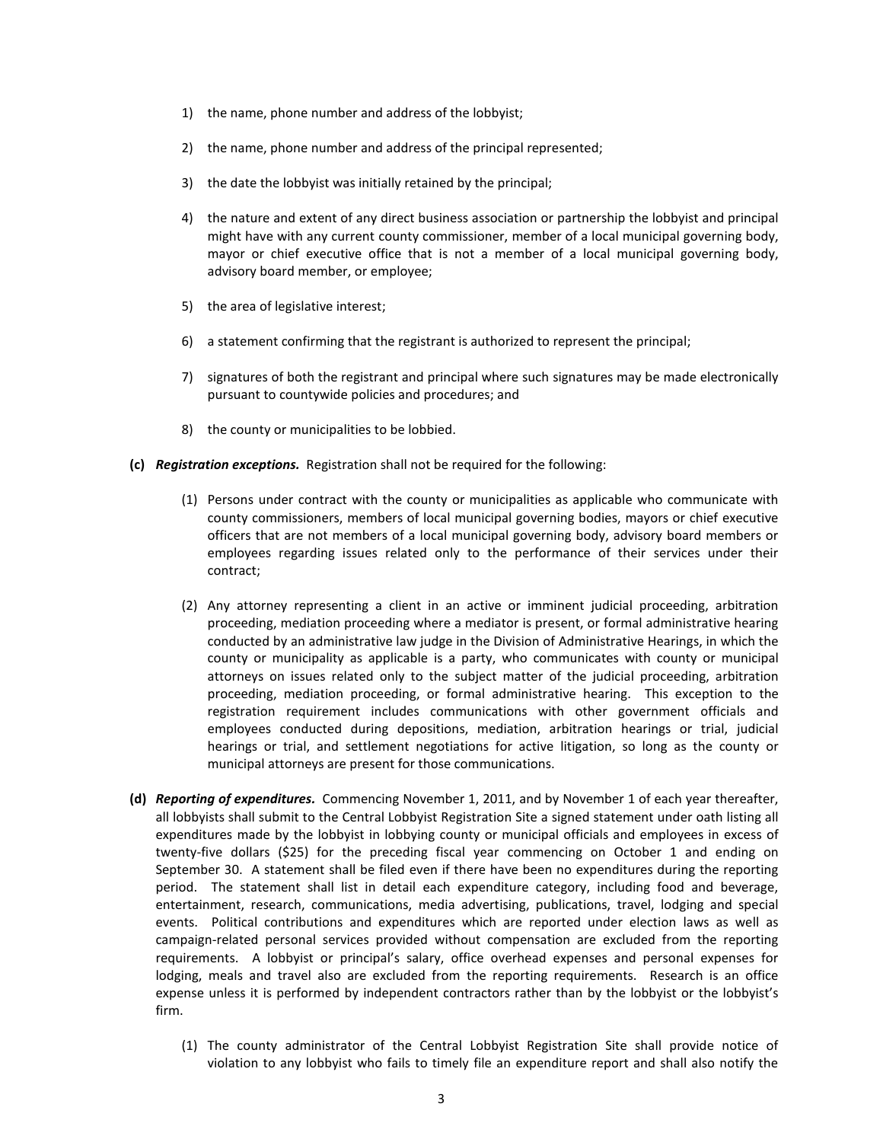- 1) the name, phone number and address of the lobbyist;
- 2) the name, phone number and address of the principal represented;
- 3) the date the lobbyist was initially retained by the principal;
- 4) the nature and extent of any direct business association or partnership the lobbyist and principal might have with any current county commissioner, member of a local municipal governing body, mayor or chief executive office that is not a member of a local municipal governing body, advisory board member, or employee;
- 5) the area of legislative interest;
- 6) a statement confirming that the registrant is authorized to represent the principal;
- 7) signatures of both the registrant and principal where such signatures may be made electronically pursuant to countywide policies and procedures; and
- 8) the county or municipalities to be lobbied.
- **(c)** *Registration exceptions.* Registration shall not be required for the following:
	- (1) Persons under contract with the county or municipalities as applicable who communicate with county commissioners, members of local municipal governing bodies, mayors or chief executive officers that are not members of a local municipal governing body, advisory board members or employees regarding issues related only to the performance of their services under their contract;
	- (2) Any attorney representing a client in an active or imminent judicial proceeding, arbitration proceeding, mediation proceeding where a mediator is present, or formal administrative hearing conducted by an administrative law judge in the Division of Administrative Hearings, in which the county or municipality as applicable is a party, who communicates with county or municipal attorneys on issues related only to the subject matter of the judicial proceeding, arbitration proceeding, mediation proceeding, or formal administrative hearing. This exception to the registration requirement includes communications with other government officials and employees conducted during depositions, mediation, arbitration hearings or trial, judicial hearings or trial, and settlement negotiations for active litigation, so long as the county or municipal attorneys are present for those communications.
- **(d)** *Reporting of expenditures.* Commencing November 1, 2011, and by November 1 of each year thereafter, all lobbyists shall submit to the Central Lobbyist Registration Site a signed statement under oath listing all expenditures made by the lobbyist in lobbying county or municipal officials and employees in excess of twenty-five dollars (\$25) for the preceding fiscal year commencing on October 1 and ending on September 30. A statement shall be filed even if there have been no expenditures during the reporting period. The statement shall list in detail each expenditure category, including food and beverage, entertainment, research, communications, media advertising, publications, travel, lodging and special events. Political contributions and expenditures which are reported under election laws as well as campaign-related personal services provided without compensation are excluded from the reporting requirements. A lobbyist or principal's salary, office overhead expenses and personal expenses for lodging, meals and travel also are excluded from the reporting requirements. Research is an office expense unless it is performed by independent contractors rather than by the lobbyist or the lobbyist's firm.
	- (1) The county administrator of the Central Lobbyist Registration Site shall provide notice of violation to any lobbyist who fails to timely file an expenditure report and shall also notify the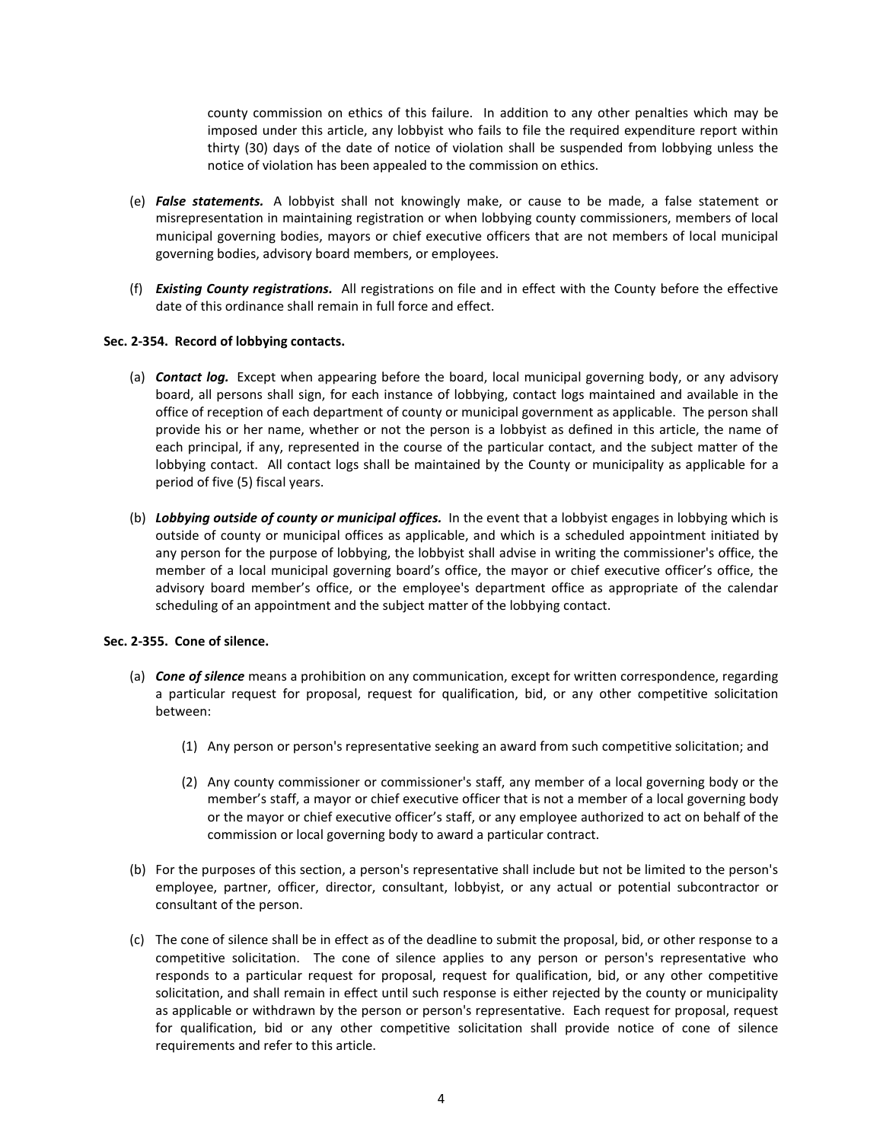county commission on ethics of this failure. In addition to any other penalties which may be imposed under this article, any lobbyist who fails to file the required expenditure report within thirty (30) days of the date of notice of violation shall be suspended from lobbying unless the notice of violation has been appealed to the commission on ethics.

- (e) *False statements.* A lobbyist shall not knowingly make, or cause to be made, a false statement or misrepresentation in maintaining registration or when lobbying county commissioners, members of local municipal governing bodies, mayors or chief executive officers that are not members of local municipal governing bodies, advisory board members, or employees.
- (f) *Existing County registrations.* All registrations on file and in effect with the County before the effective date of this ordinance shall remain in full force and effect.

## **Sec. 2-354. Record of lobbying contacts.**

- (a) *Contact log.* Except when appearing before the board, local municipal governing body, or any advisory board, all persons shall sign, for each instance of lobbying, contact logs maintained and available in the office of reception of each department of county or municipal government as applicable. The person shall provide his or her name, whether or not the person is a lobbyist as defined in this article, the name of each principal, if any, represented in the course of the particular contact, and the subject matter of the lobbying contact. All contact logs shall be maintained by the County or municipality as applicable for a period of five (5) fiscal years.
- (b) *Lobbying outside of county or municipal offices.* In the event that a lobbyist engages in lobbying which is outside of county or municipal offices as applicable, and which is a scheduled appointment initiated by any person for the purpose of lobbying, the lobbyist shall advise in writing the commissioner's office, the member of a local municipal governing board's office, the mayor or chief executive officer's office, the advisory board member's office, or the employee's department office as appropriate of the calendar scheduling of an appointment and the subject matter of the lobbying contact.

#### **Sec. 2-355. Cone of silence.**

- (a) *Cone of silence* means a prohibition on any communication, except for written correspondence, regarding a particular request for proposal, request for qualification, bid, or any other competitive solicitation between:
	- (1) Any person or person's representative seeking an award from such competitive solicitation; and
	- (2) Any county commissioner or commissioner's staff, any member of a local governing body or the member's staff, a mayor or chief executive officer that is not a member of a local governing body or the mayor or chief executive officer's staff, or any employee authorized to act on behalf of the commission or local governing body to award a particular contract.
- (b) For the purposes of this section, a person's representative shall include but not be limited to the person's employee, partner, officer, director, consultant, lobbyist, or any actual or potential subcontractor or consultant of the person.
- (c) The cone of silence shall be in effect as of the deadline to submit the proposal, bid, or other response to a competitive solicitation. The cone of silence applies to any person or person's representative who responds to a particular request for proposal, request for qualification, bid, or any other competitive solicitation, and shall remain in effect until such response is either rejected by the county or municipality as applicable or withdrawn by the person or person's representative. Each request for proposal, request for qualification, bid or any other competitive solicitation shall provide notice of cone of silence requirements and refer to this article.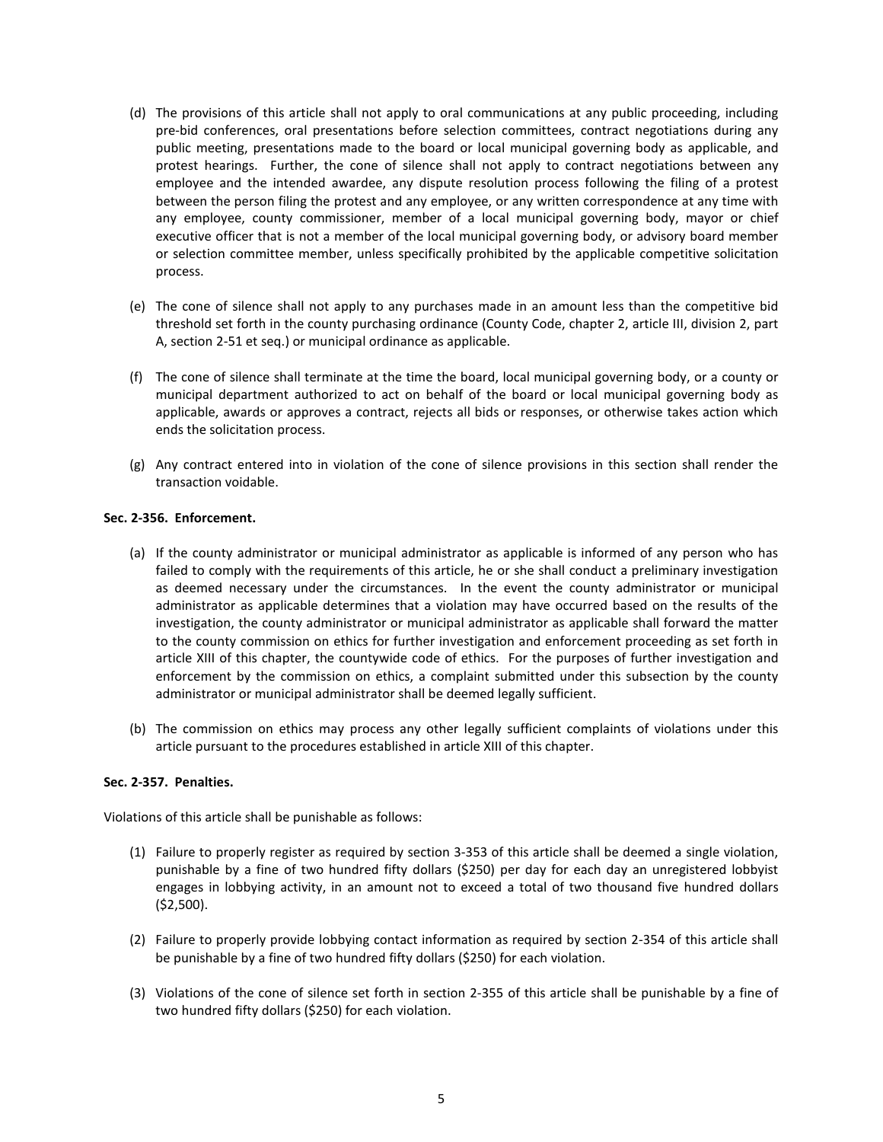- (d) The provisions of this article shall not apply to oral communications at any public proceeding, including pre-bid conferences, oral presentations before selection committees, contract negotiations during any public meeting, presentations made to the board or local municipal governing body as applicable, and protest hearings. Further, the cone of silence shall not apply to contract negotiations between any employee and the intended awardee, any dispute resolution process following the filing of a protest between the person filing the protest and any employee, or any written correspondence at any time with any employee, county commissioner, member of a local municipal governing body, mayor or chief executive officer that is not a member of the local municipal governing body, or advisory board member or selection committee member, unless specifically prohibited by the applicable competitive solicitation process.
- (e) The cone of silence shall not apply to any purchases made in an amount less than the competitive bid threshold set forth in the county purchasing ordinance (County Code, chapter 2, article III, division 2, part A, section 2-51 et seq.) or municipal ordinance as applicable.
- (f) The cone of silence shall terminate at the time the board, local municipal governing body, or a county or municipal department authorized to act on behalf of the board or local municipal governing body as applicable, awards or approves a contract, rejects all bids or responses, or otherwise takes action which ends the solicitation process.
- (g) Any contract entered into in violation of the cone of silence provisions in this section shall render the transaction voidable.

## **Sec. 2-356. Enforcement.**

- (a) If the county administrator or municipal administrator as applicable is informed of any person who has failed to comply with the requirements of this article, he or she shall conduct a preliminary investigation as deemed necessary under the circumstances. In the event the county administrator or municipal administrator as applicable determines that a violation may have occurred based on the results of the investigation, the county administrator or municipal administrator as applicable shall forward the matter to the county commission on ethics for further investigation and enforcement proceeding as set forth in article XIII of this chapter, the countywide code of ethics. For the purposes of further investigation and enforcement by the commission on ethics, a complaint submitted under this subsection by the county administrator or municipal administrator shall be deemed legally sufficient.
- (b) The commission on ethics may process any other legally sufficient complaints of violations under this article pursuant to the procedures established in article XIII of this chapter.

#### **Sec. 2-357. Penalties.**

Violations of this article shall be punishable as follows:

- (1) Failure to properly register as required by section 3-353 of this article shall be deemed a single violation, punishable by a fine of two hundred fifty dollars (\$250) per day for each day an unregistered lobbyist engages in lobbying activity, in an amount not to exceed a total of two thousand five hundred dollars (\$2,500).
- (2) Failure to properly provide lobbying contact information as required by section 2-354 of this article shall be punishable by a fine of two hundred fifty dollars (\$250) for each violation.
- (3) Violations of the cone of silence set forth in section 2-355 of this article shall be punishable by a fine of two hundred fifty dollars (\$250) for each violation.